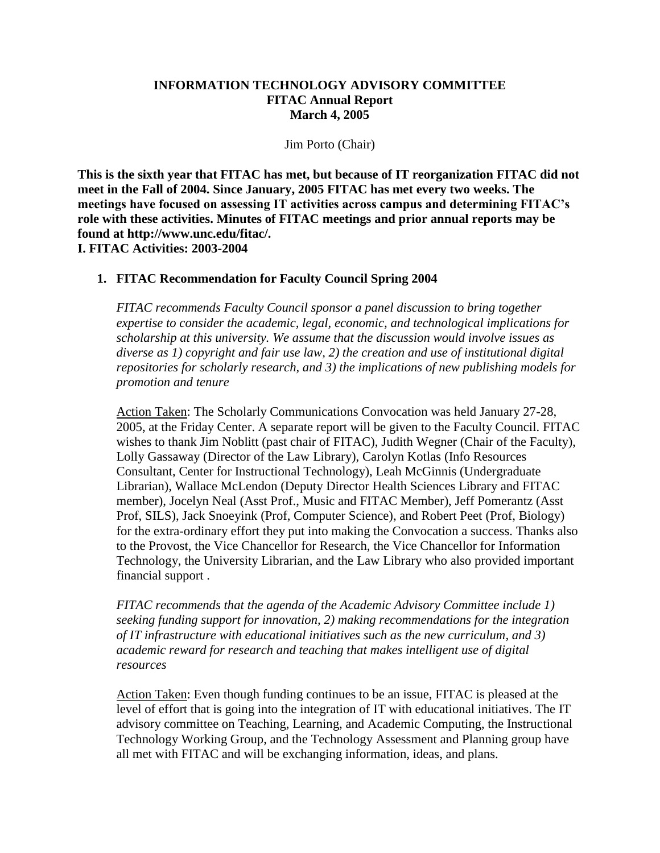#### **INFORMATION TECHNOLOGY ADVISORY COMMITTEE FITAC Annual Report March 4, 2005**

Jim Porto (Chair)

**This is the sixth year that FITAC has met, but because of IT reorganization FITAC did not meet in the Fall of 2004. Since January, 2005 FITAC has met every two weeks. The meetings have focused on assessing IT activities across campus and determining FITAC's role with these activities. Minutes of FITAC meetings and prior annual reports may be found at http://www.unc.edu/fitac/. I. FITAC Activities: 2003-2004**

#### **1. FITAC Recommendation for Faculty Council Spring 2004**

*FITAC recommends Faculty Council sponsor a panel discussion to bring together expertise to consider the academic, legal, economic, and technological implications for scholarship at this university. We assume that the discussion would involve issues as diverse as 1) copyright and fair use law, 2) the creation and use of institutional digital repositories for scholarly research, and 3) the implications of new publishing models for promotion and tenure*

Action Taken: The Scholarly Communications Convocation was held January 27-28, 2005, at the Friday Center. A separate report will be given to the Faculty Council. FITAC wishes to thank Jim Noblitt (past chair of FITAC), Judith Wegner (Chair of the Faculty), Lolly Gassaway (Director of the Law Library), Carolyn Kotlas (Info Resources Consultant, Center for Instructional Technology), Leah McGinnis (Undergraduate Librarian), Wallace McLendon (Deputy Director Health Sciences Library and FITAC member), Jocelyn Neal (Asst Prof., Music and FITAC Member), Jeff Pomerantz (Asst Prof, SILS), Jack Snoeyink (Prof, Computer Science), and Robert Peet (Prof, Biology) for the extra-ordinary effort they put into making the Convocation a success. Thanks also to the Provost, the Vice Chancellor for Research, the Vice Chancellor for Information Technology, the University Librarian, and the Law Library who also provided important financial support .

*FITAC recommends that the agenda of the Academic Advisory Committee include 1) seeking funding support for innovation, 2) making recommendations for the integration of IT infrastructure with educational initiatives such as the new curriculum, and 3) academic reward for research and teaching that makes intelligent use of digital resources*

Action Taken: Even though funding continues to be an issue, FITAC is pleased at the level of effort that is going into the integration of IT with educational initiatives. The IT advisory committee on Teaching, Learning, and Academic Computing, the Instructional Technology Working Group, and the Technology Assessment and Planning group have all met with FITAC and will be exchanging information, ideas, and plans.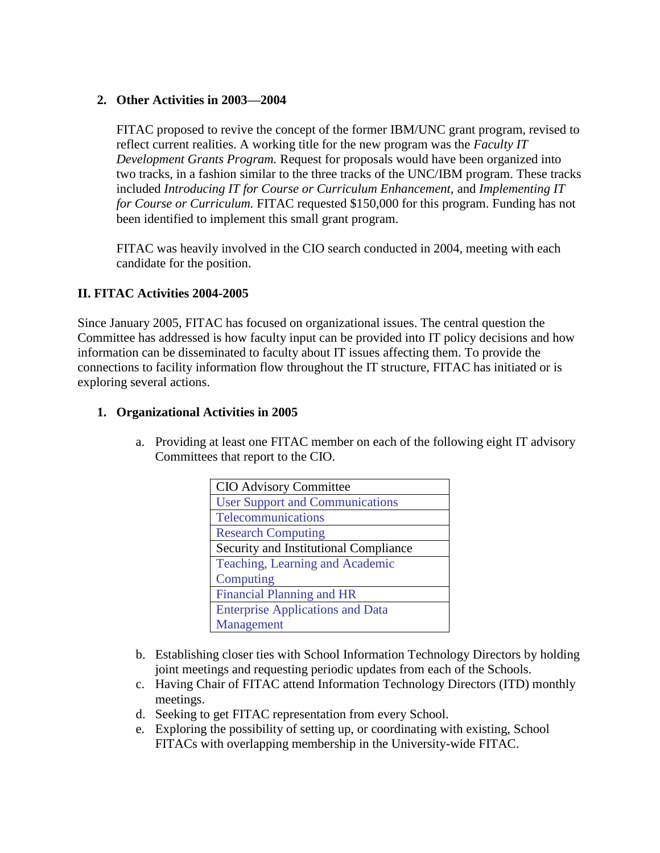### **2. Other Activities in 2003—2004**

FITAC proposed to revive the concept of the former IBM/UNC grant program, revised to reflect current realities. A working title for the new program was the *Faculty IT Development Grants Program.* Request for proposals would have been organized into two tracks, in a fashion similar to the three tracks of the UNC/IBM program. These tracks included *Introducing IT for Course or Curriculum Enhancement,* and *Implementing IT for Course or Curriculum.* FITAC requested \$150,000 for this program. Funding has not been identified to implement this small grant program.

FITAC was heavily involved in the CIO search conducted in 2004, meeting with each candidate for the position.

#### **II. FITAC Activities 2004-2005**

Since January 2005, FITAC has focused on organizational issues. The central question the Committee has addressed is how faculty input can be provided into IT policy decisions and how information can be disseminated to faculty about IT issues affecting them. To provide the connections to facility information flow throughout the IT structure, FITAC has initiated or is exploring several actions.

#### **1. Organizational Activities in 2005**

a. Providing at least one FITAC member on each of the following eight IT advisory Committees that report to the CIO.

| <b>CIO Advisory Committee</b>           |
|-----------------------------------------|
| <b>User Support and Communications</b>  |
| Telecommunications                      |
| <b>Research Computing</b>               |
| Security and Institutional Compliance   |
| Teaching, Learning and Academic         |
| Computing                               |
| <b>Financial Planning and HR</b>        |
| <b>Enterprise Applications and Data</b> |
| Management                              |

- b. Establishing closer ties with School Information Technology Directors by holding joint meetings and requesting periodic updates from each of the Schools.
- c. Having Chair of FITAC attend Information Technology Directors (ITD) monthly meetings.
- d. Seeking to get FITAC representation from every School.
- e. Exploring the possibility of setting up, or coordinating with existing, School FITACs with overlapping membership in the University-wide FITAC.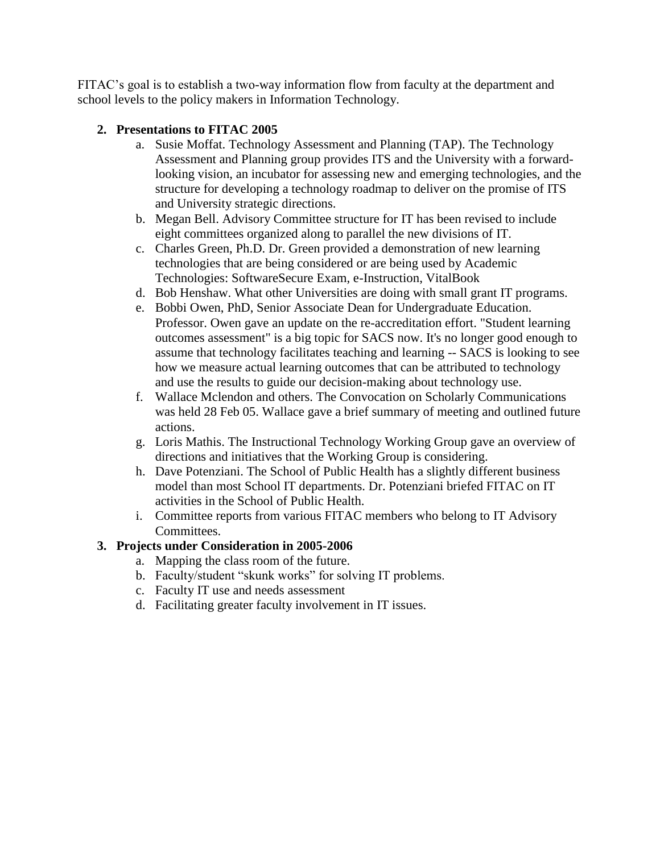FITAC's goal is to establish a two-way information flow from faculty at the department and school levels to the policy makers in Information Technology.

# **2. Presentations to FITAC 2005**

- a. Susie Moffat. Technology Assessment and Planning (TAP). The Technology Assessment and Planning group provides ITS and the University with a forwardlooking vision, an incubator for assessing new and emerging technologies, and the structure for developing a technology roadmap to deliver on the promise of ITS and University strategic directions.
- b. Megan Bell. Advisory Committee structure for IT has been revised to include eight committees organized along to parallel the new divisions of IT.
- c. Charles Green, Ph.D. Dr. Green provided a demonstration of new learning technologies that are being considered or are being used by Academic Technologies: SoftwareSecure Exam, e-Instruction, VitalBook
- d. Bob Henshaw. What other Universities are doing with small grant IT programs.
- e. Bobbi Owen, PhD, Senior Associate Dean for Undergraduate Education. Professor. Owen gave an update on the re-accreditation effort. "Student learning outcomes assessment" is a big topic for SACS now. It's no longer good enough to assume that technology facilitates teaching and learning -- SACS is looking to see how we measure actual learning outcomes that can be attributed to technology and use the results to guide our decision-making about technology use.
- f. Wallace Mclendon and others. The Convocation on Scholarly Communications was held 28 Feb 05. Wallace gave a brief summary of meeting and outlined future actions.
- g. Loris Mathis. The Instructional Technology Working Group gave an overview of directions and initiatives that the Working Group is considering.
- h. Dave Potenziani. The School of Public Health has a slightly different business model than most School IT departments. Dr. Potenziani briefed FITAC on IT activities in the School of Public Health.
- i. Committee reports from various FITAC members who belong to IT Advisory Committees.

# **3. Projects under Consideration in 2005-2006**

- a. Mapping the class room of the future.
- b. Faculty/student "skunk works" for solving IT problems.
- c. Faculty IT use and needs assessment
- d. Facilitating greater faculty involvement in IT issues.